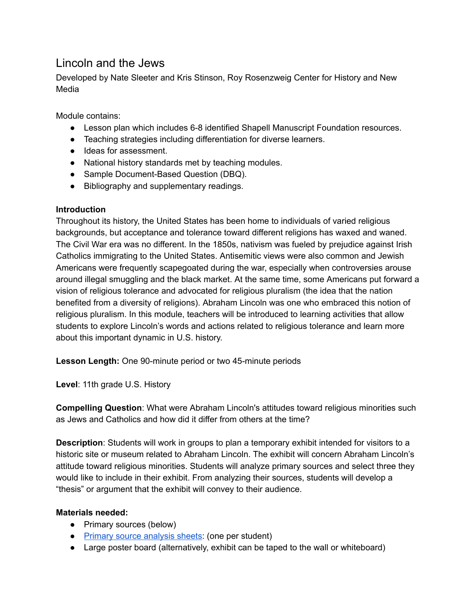# Lincoln and the Jews

Developed by Nate Sleeter and Kris Stinson, Roy Rosenzweig Center for History and New Media

Module contains:

- Lesson plan which includes 6-8 identified Shapell Manuscript Foundation resources.
- Teaching strategies including differentiation for diverse learners.
- Ideas for assessment.
- National history standards met by teaching modules.
- Sample Document-Based Question (DBQ).
- Bibliography and supplementary readings.

## **Introduction**

Throughout its history, the United States has been home to individuals of varied religious backgrounds, but acceptance and tolerance toward different religions has waxed and waned. The Civil War era was no different. In the 1850s, nativism was fueled by prejudice against Irish Catholics immigrating to the United States. Antisemitic views were also common and Jewish Americans were frequently scapegoated during the war, especially when controversies arouse around illegal smuggling and the black market. At the same time, some Americans put forward a vision of religious tolerance and advocated for religious pluralism (the idea that the nation benefited from a diversity of religions). Abraham Lincoln was one who embraced this notion of religious pluralism. In this module, teachers will be introduced to learning activities that allow students to explore Lincoln's words and actions related to religious tolerance and learn more about this important dynamic in U.S. history.

**Lesson Length:** One 90-minute period or two 45-minute periods

Level: 11th grade U.S. History

**Compelling Question:** What were Abraham Lincoln's attitudes toward religious minorities such as Jews and Catholics and how did it differ from others at the time?

**Description**: Students will work in groups to plan a temporary exhibit intended for visitors to a historic site or museum related to Abraham Lincoln. The exhibit will concern Abraham Lincoln's attitude toward religious minorities. Students will analyze primary sources and select three they would like to include in their exhibit. From analyzing their sources, students will develop a "thesis" or argument that the exhibit will convey to their audience.

## **Materials needed:**

- Primary sources (below)
- [Primary source analysis sheets](https://www.archives.gov/files/education/lessons/worksheets/written_document_analysis_worksheet.pdf): (one per student)
- Large poster board (alternatively, exhibit can be taped to the wall or whiteboard)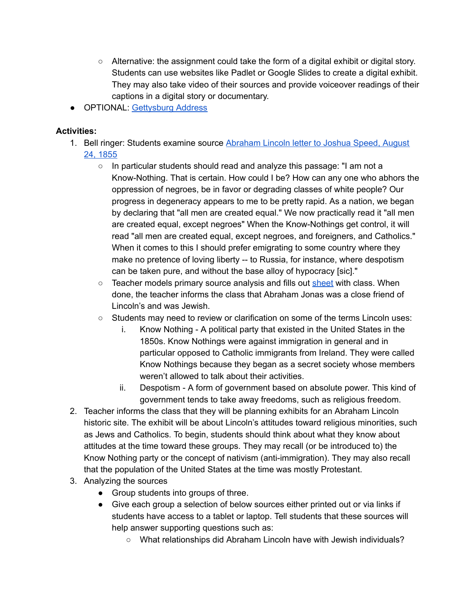- Alternative: the assignment could take the form of a digital exhibit or digital story. Students can use websites like Padlet or Google Slides to create a digital exhibit. They may also take video of their sources and provide voiceover readings of their captions in a digital story or documentary.
- OPTIONAL: Gettysburg Address

## **Activities:**

- 1. Bell ringer: Students examine source [Abraham Lincoln letter to Joshua Speed, August](http://www.abrahamlincolnonline.org/lincoln/speeches/speed.htm)  [24, 1855](http://www.abrahamlincolnonline.org/lincoln/speeches/speed.htm) 
	- In particular students should read and analyze this passage: "I am not a Know-Nothing. That is certain. How could I be? How can any one who abhors the oppression of negroes, be in favor or degrading classes of white people? Our progress in degeneracy appears to me to be pretty rapid. As a nation, we began by declaring that "all men are created equal." We now practically read it "all men are created equal, except negroes" When the Know-Nothings get control, it will read "all men are created equal, except negroes, and foreigners, and Catholics." When it comes to this I should prefer emigrating to some country where they make no pretence of loving liberty -- to Russia, for instance, where despotism can be taken pure, and without the base alloy of hypocracy [sic]."
	- Teacher models primary source analysis and fills out [sheet](https://www.archives.gov/files/education/lessons/worksheets/written_document_analysis_worksheet.pdf) with class. When done, the teacher informs the class that Abraham Jonas was a close friend of Lincoln's and was Jewish.
	- $\circ$  Students may need to review or clarification on some of the terms Lincoln uses:
		- i. Know Nothing A political party that existed in the United States in the 1850s. Know Nothings were against immigration in general and in particular opposed to Catholic immigrants from Ireland. They were called Know Nothings because they began as a secret society whose members weren't allowed to talk about their activities.
		- ii. Despotism A form of government based on absolute power. This kind of government tends to take away freedoms, such as religious freedom.
- 2. Teacher informs the class that they will be planning exhibits for an Abraham Lincoln historic site. The exhibit will be about Lincoln's attitudes toward religious minorities, such as Jews and Catholics. To begin, students should think about what they know about attitudes at the time toward these groups. They may recall (or be introduced to) the Know Nothing party or the concept of nativism (anti-immigration). They may also recall that the population of the United States at the time was mostly Protestant.
- 3. Analyzing the sources
	- Group students into groups of three.
	- Give each group a selection of below sources either printed out or via links if students have access to a tablet or laptop. Tell students that these sources will help answer supporting questions such as:
		- What relationships did Abraham Lincoln have with Jewish individuals?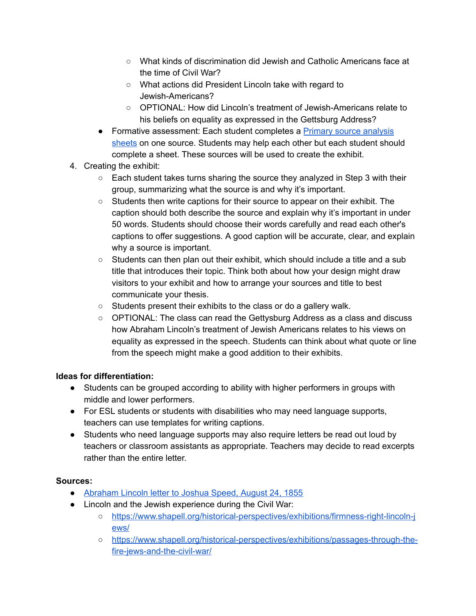- What kinds of discrimination did Jewish and Catholic Americans face at the time of Civil War?
- What actions did President Lincoln take with regard to Jewish-Americans?
- OPTIONAL: How did Lincoln's treatment of Jewish-Americans relate to his beliefs on equality as expressed in the Gettsburg Address?
- Formative assessment: Each student completes a Primary source analysis [sheets](https://www.archives.gov/files/education/lessons/worksheets/written_document_analysis_worksheet.pdf) on one source. Students may help each other but each student should complete a sheet. These sources will be used to create the exhibit.
- 4. Creating the exhibit:
	- $\circ$  Each student takes turns sharing the source they analyzed in Step 3 with their group, summarizing what the source is and why it's important.
	- Students then write captions for their source to appear on their exhibit. The caption should both describe the source and explain why it's important in under 50 words. Students should choose their words carefully and read each other's captions to offer suggestions. A good caption will be accurate, clear, and explain why a source is important.
	- $\circ$  Students can then plan out their exhibit, which should include a title and a sub title that introduces their topic. Think both about how your design might draw visitors to your exhibit and how to arrange your sources and title to best communicate your thesis.
	- $\circ$  Students present their exhibits to the class or do a gallery walk.
	- $\circ$  OPTIONAL: The class can read the Gettysburg Address as a class and discuss how Abraham Lincoln's treatment of Jewish Americans relates to his views on equality as expressed in the speech. Students can think about what quote or line from the speech might make a good addition to their exhibits.

## **Ideas for differentiation:**

- Students can be grouped according to ability with higher performers in groups with middle and lower performers.
- For ESL students or students with disabilities who may need language supports, teachers can use templates for writing captions.
- Students who need language supports may also require letters be read out loud by teachers or classroom assistants as appropriate. Teachers may decide to read excerpts rather than the entire letter.

## **Sources:**

- [Abraham Lincoln letter to Joshua Speed, August 24, 1855](http://www.abrahamlincolnonline.org/lincoln/speeches/speed.htm)
- Lincoln and the Jewish experience during the Civil War:
	- [https://www.shapell.org/historical-perspectives/exhibitions/firmness-right-lincoln-j](https://www.shapell.org/historical-perspectives/exhibitions/firmness-right-lincoln-jews/)  [ews/](https://www.shapell.org/historical-perspectives/exhibitions/firmness-right-lincoln-jews/)
	- [https://www.shapell.org/historical-perspectives/exhibitions/passages-through-the](https://www.shapell.org/historical-perspectives/exhibitions/passages-through-the-fire-jews-and-the-civil-war/)[fire-jews-and-the-civil-war/](https://www.shapell.org/historical-perspectives/exhibitions/passages-through-the-fire-jews-and-the-civil-war/)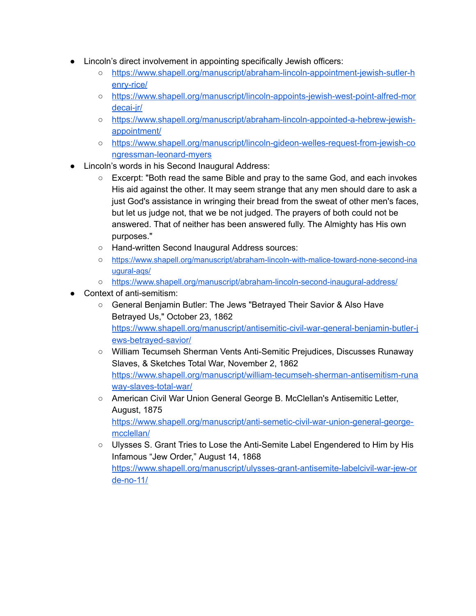- Lincoln's direct involvement in appointing specifically Jewish officers:
	- [https://www.shapell.org/manuscript/abraham-lincoln-appointment-jewish-sutler-h](https://www.shapell.org/manuscript/abraham-lincoln-appointment-jewish-sutler-henry-rice/)  [enry-rice/](https://www.shapell.org/manuscript/abraham-lincoln-appointment-jewish-sutler-henry-rice/)
	- [https://www.shapell.org/manuscript/lincoln-appoints-jewish-west-point-alfred-mor](https://www.shapell.org/manuscript/lincoln-appoints-jewish-west-point-alfred-mordecai-jr/) [decai-jr/](https://www.shapell.org/manuscript/lincoln-appoints-jewish-west-point-alfred-mordecai-jr/)
	- [https://www.shapell.org/manuscript/abraham-lincoln-appointed-a-hebrew-jewish](https://www.shapell.org/manuscript/abraham-lincoln-appointed-a-hebrew-jewish-appointment/)[appointment/](https://www.shapell.org/manuscript/abraham-lincoln-appointed-a-hebrew-jewish-appointment/)
	- [https://www.shapell.org/manuscript/lincoln-gideon-welles-request-from-jewish-co](https://www.shapell.org/manuscript/lincoln-gideon-welles-request-from-jewish-congressman-leonard-myers/)  [ngressman-leonard-myers](https://www.shapell.org/manuscript/lincoln-gideon-welles-request-from-jewish-congressman-leonard-myers/)
- Lincoln's words in his Second Inaugural Address:
	- Excerpt: "Both read the same Bible and pray to the same God, and each invokes His aid against the other. It may seem strange that any men should dare to ask a just God's assistance in wringing their bread from the sweat of other men's faces, but let us judge not, that we be not judged. The prayers of both could not be answered. That of neither has been answered fully. The Almighty has His own purposes."
	- Hand-written Second Inaugural Address sources:
	- [https://www.shapell.org/manuscript/abraham-lincoln-with-malice-toward-none-second-ina](https://secure-web.cisco.com/1AlU3q2Nwe84L0QU0pxaaIMi78VHOYN-njFC2ZBH_By0okLi1KZPkX7K49_B6KesoTK1354VWqMytoCMnDHdX2wktjlh-sfbNdaXvZiPYS5a3aWshiS_iHfxqjicAonBSWJ0CKKjoDvVh9c6lBagE6MChWXDoIdvCrG94H0gPyfCaUweDA8dIKco24G1qFvGIH9m06Yomh_bPtWbObo21FaH0cL1N7QQorTyo5gKOTeBgaFfsqkVYzhABeIzWdmuaX6Lv9k7VreqEzpNF-KGph33TbGec07TLbaKVGdvAmJ9QjUqdkDdQXhuDHIVbdz_yQVo9-meQ-n7ko3u9sCKWsbpcVHTzsC8Jhoi-bnRcpCKTOoe8pIdoFQR23d_usn3XI0yD8vCtueSnYUXH2BXuo70KXoMAc0Rc_MrqgQt7T7Fq9tD6QPc8Iut2CqfHyjJv/https%3A%2F%2Fwww.shapell.org%2Fmanuscript%2Fabraham-lincoln-with-malice-toward-none-second-inaugural-aqs%2F)  [ugural-aqs/](https://secure-web.cisco.com/1AlU3q2Nwe84L0QU0pxaaIMi78VHOYN-njFC2ZBH_By0okLi1KZPkX7K49_B6KesoTK1354VWqMytoCMnDHdX2wktjlh-sfbNdaXvZiPYS5a3aWshiS_iHfxqjicAonBSWJ0CKKjoDvVh9c6lBagE6MChWXDoIdvCrG94H0gPyfCaUweDA8dIKco24G1qFvGIH9m06Yomh_bPtWbObo21FaH0cL1N7QQorTyo5gKOTeBgaFfsqkVYzhABeIzWdmuaX6Lv9k7VreqEzpNF-KGph33TbGec07TLbaKVGdvAmJ9QjUqdkDdQXhuDHIVbdz_yQVo9-meQ-n7ko3u9sCKWsbpcVHTzsC8Jhoi-bnRcpCKTOoe8pIdoFQR23d_usn3XI0yD8vCtueSnYUXH2BXuo70KXoMAc0Rc_MrqgQt7T7Fq9tD6QPc8Iut2CqfHyjJv/https%3A%2F%2Fwww.shapell.org%2Fmanuscript%2Fabraham-lincoln-with-malice-toward-none-second-inaugural-aqs%2F)
	- o https://www.shapell.org/manuscript/abraham-lincoln-second-inaugural-address/
- Context of anti-semitism:
	- General Benjamin Butler: The Jews "Betrayed Their Savior & Also Have Betrayed Us," October 23, 1862 [https://www.shapell.org/manuscript/antisemitic-civil-war-general-benjamin-butler-j](https://www.shapell.org/manuscript/antisemitic-civil-war-general-benjamin-butler-jews-betrayed-savior/) [ews-betrayed-savior/](https://www.shapell.org/manuscript/antisemitic-civil-war-general-benjamin-butler-jews-betrayed-savior/)
	- William Tecumseh Sherman Vents Anti-Semitic Prejudices, Discusses Runaway Slaves, & Sketches Total War, November 2, 1862 [https://www.shapell.org/manuscript/william-tecumseh-sherman-antisemitism-runa](https://www.shapell.org/manuscript/william-tecumseh-sherman-antisemitism-runaway-slaves-total-war/) [way-slaves-total-war/](https://www.shapell.org/manuscript/william-tecumseh-sherman-antisemitism-runaway-slaves-total-war/)
	- American Civil War Union General George B. McClellan's Antisemitic Letter, August, 1875 [https://www.shapell.org/manuscript/anti-semetic-civil-war-union-general-george](https://www.shapell.org/manuscript/anti-semetic-civil-war-union-general-george-mcclellan/)[mcclellan/](https://www.shapell.org/manuscript/anti-semetic-civil-war-union-general-george-mcclellan/)
	- Ulysses S. Grant Tries to Lose the Anti-Semite Label Engendered to Him by His Infamous "Jew Order," August 14, 1868 [https://www.shapell.org/manuscript/ulysses-grant-antisemite-labelcivil-war-jew-or](https://www.shapell.org/manuscript/ulysses-grant-antisemite-labelcivil-war-jew-orde-no-11/) [de-no-11/](https://www.shapell.org/manuscript/ulysses-grant-antisemite-labelcivil-war-jew-orde-no-11/)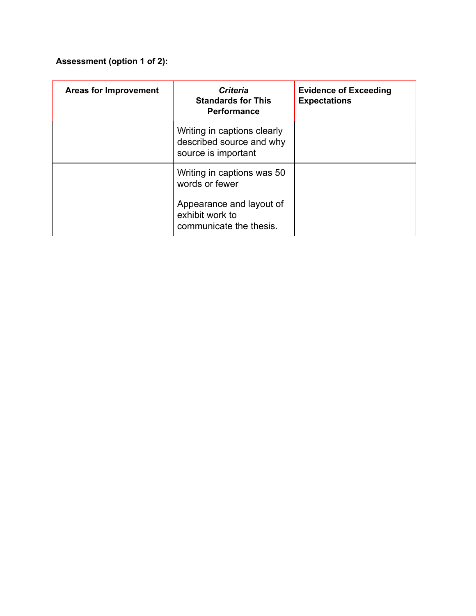# **Assessment (option 1 of 2):**

| <b>Areas for Improvement</b> | <b>Criteria</b><br><b>Standards for This</b><br><b>Performance</b>             | <b>Evidence of Exceeding</b><br><b>Expectations</b> |
|------------------------------|--------------------------------------------------------------------------------|-----------------------------------------------------|
|                              | Writing in captions clearly<br>described source and why<br>source is important |                                                     |
|                              | Writing in captions was 50<br>words or fewer                                   |                                                     |
|                              | Appearance and layout of<br>exhibit work to<br>communicate the thesis.         |                                                     |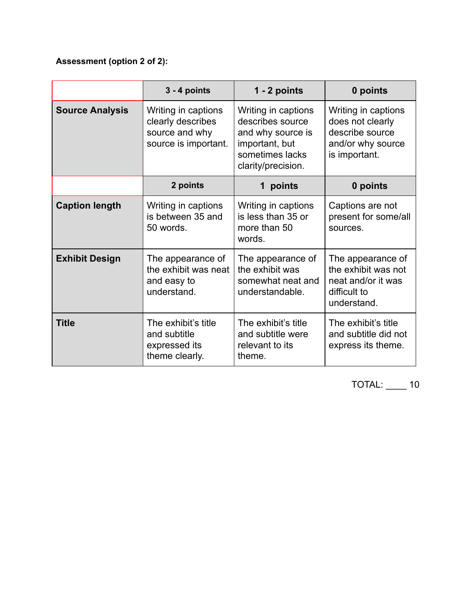# **Assessment (option 2 of 2):**

|                        | $3 - 4$ points                                                                     | 1 - 2 points                                                                                                            | 0 points                                                                                         |
|------------------------|------------------------------------------------------------------------------------|-------------------------------------------------------------------------------------------------------------------------|--------------------------------------------------------------------------------------------------|
| <b>Source Analysis</b> | Writing in captions<br>clearly describes<br>source and why<br>source is important. | Writing in captions<br>describes source<br>and why source is<br>important, but<br>sometimes lacks<br>clarity/precision. | Writing in captions<br>does not clearly<br>describe source<br>and/or why source<br>is important. |
|                        | 2 points                                                                           | points<br>1                                                                                                             | 0 points                                                                                         |
| <b>Caption length</b>  | Writing in captions<br>is between 35 and<br>50 words.                              | Writing in captions<br>is less than 35 or<br>more than 50<br>words.                                                     | Captions are not<br>present for some/all<br>sources.                                             |
| <b>Exhibit Design</b>  | The appearance of<br>the exhibit was neat<br>and easy to<br>understand.            | The appearance of<br>the exhibit was<br>somewhat neat and<br>understandable.                                            | The appearance of<br>the exhibit was not<br>neat and/or it was<br>difficult to<br>understand.    |
| <b>Title</b>           | The exhibit's title<br>and subtitle<br>expressed its<br>theme clearly.             | The exhibit's title<br>and subtitle were<br>relevant to its<br>theme.                                                   | The exhibit's title<br>and subtitle did not<br>express its theme.                                |

TOTAL: \_\_\_\_ 10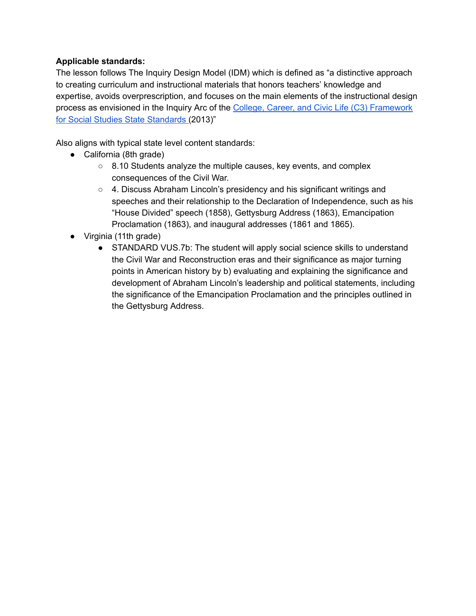## **Applicable standards:**

The lesson follows The Inquiry Design Model (IDM) which is defined as "a distinctive approach to creating curriculum and instructional materials that honors teachers' knowledge and expertise, avoids overprescription, and focuses on the main elements of the instructional design process as envisioned in the Inquiry Arc of the [College, Career, and Civic Life \(C3\) Framework](http://www.socialstudies.org/c3)  [for Social Studies State Standards](http://www.socialstudies.org/c3) (2013)"

Also aligns with typical state level content standards:

- California (8th grade)
	- 8.10 Students analyze the multiple causes, key events, and complex consequences of the Civil War.
	- 4. Discuss Abraham Lincoln's presidency and his significant writings and speeches and their relationship to the Declaration of Independence, such as his "House Divided" speech (1858), Gettysburg Address (1863), Emancipation Proclamation (1863), and inaugural addresses (1861 and 1865).
- Virginia (11th grade)
	- STANDARD VUS.7b: The student will apply social science skills to understand the Civil War and Reconstruction eras and their significance as major turning points in American history by b) evaluating and explaining the significance and development of Abraham Lincoln's leadership and political statements, including the significance of the Emancipation Proclamation and the principles outlined in the Gettysburg Address.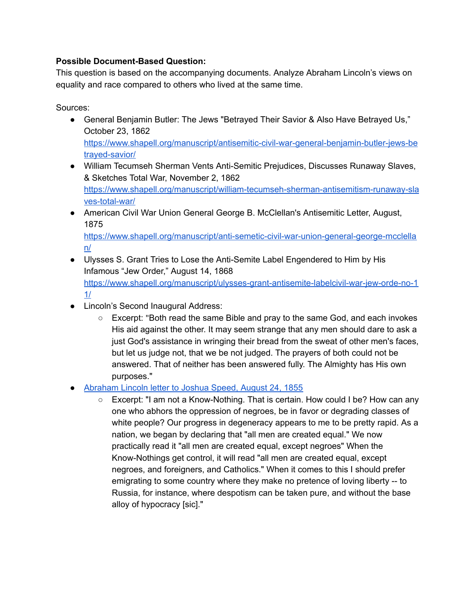## **Possible Document-Based Question:**

This question is based on the accompanying documents. Analyze Abraham Lincoln's views on equality and race compared to others who lived at the same time.

Sources:

- General Benjamin Butler: The Jews "Betrayed Their Savior & Also Have Betrayed Us," October 23, 1862 [https://www.shapell.org/manuscript/antisemitic-civil-war-general-benjamin-butler-jews-be](https://www.shapell.org/manuscript/antisemitic-civil-war-general-benjamin-butler-jews-betrayed-savior/)  [trayed-savior/](https://www.shapell.org/manuscript/antisemitic-civil-war-general-benjamin-butler-jews-betrayed-savior/)
- William Tecumseh Sherman Vents Anti-Semitic Prejudices, Discusses Runaway Slaves, & Sketches Total War, November 2, 1862 [https://www.shapell.org/manuscript/william-tecumseh-sherman-antisemitism-runaway-sla](https://www.shapell.org/manuscript/william-tecumseh-sherman-antisemitism-runaway-slaves-total-war/) [ves-total-war/](https://www.shapell.org/manuscript/william-tecumseh-sherman-antisemitism-runaway-slaves-total-war/)
- American Civil War Union General George B. McClellan's Antisemitic Letter, August, 1875 [https://www.shapell.org/manuscript/anti-semetic-civil-war-union-general-george-mcclella](https://www.shapell.org/manuscript/anti-semetic-civil-war-union-general-george-mcclellan/)  [n/](https://www.shapell.org/manuscript/anti-semetic-civil-war-union-general-george-mcclellan/)
- Ulysses S. Grant Tries to Lose the Anti-Semite Label Engendered to Him by His Infamous "Jew Order," August 14, 1868 [https://www.shapell.org/manuscript/ulysses-grant-antisemite-labelcivil-war-jew-orde-no-1](https://www.shapell.org/manuscript/ulysses-grant-antisemite-labelcivil-war-jew-orde-no-11/) [1/](https://www.shapell.org/manuscript/ulysses-grant-antisemite-labelcivil-war-jew-orde-no-11/)
- Lincoln's Second Inaugural Address:
	- Excerpt: "Both read the same Bible and pray to the same God, and each invokes His aid against the other. It may seem strange that any men should dare to ask a just God's assistance in wringing their bread from the sweat of other men's faces, but let us judge not, that we be not judged. The prayers of both could not be answered. That of neither has been answered fully. The Almighty has His own purposes."
- [Abraham Lincoln letter to Joshua Speed, August 24, 1855](http://www.abrahamlincolnonline.org/lincoln/speeches/speed.htm) 
	- Excerpt: "I am not a Know-Nothing. That is certain. How could I be? How can any one who abhors the oppression of negroes, be in favor or degrading classes of white people? Our progress in degeneracy appears to me to be pretty rapid. As a nation, we began by declaring that "all men are created equal." We now practically read it "all men are created equal, except negroes" When the Know-Nothings get control, it will read "all men are created equal, except negroes, and foreigners, and Catholics." When it comes to this I should prefer emigrating to some country where they make no pretence of loving liberty -- to Russia, for instance, where despotism can be taken pure, and without the base alloy of hypocracy [sic]."